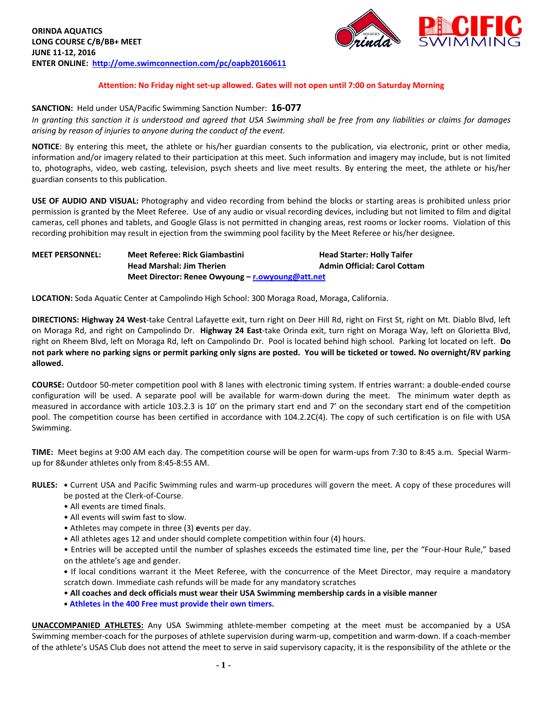

## **Attention: No Friday night set-up allowed. Gates will not open until 7:00 on Saturday Morning**

#### **SANCTION:** Held under USA/Pacific Swimming Sanction Number: **16-077**

*In granting this sanction it is understood and agreed that USA Swimming shall be free from any liabilities or claims for damages arising by reason of injuries to anyone during the conduct of the event.*

**NOTICE**: By entering this meet, the athlete or his/her guardian consents to the publication, via electronic, print or other media, information and/or imagery related to their participation at this meet. Such information and imagery may include, but is not limited to, photographs, video, web casting, television, psych sheets and live meet results. By entering the meet, the athlete or his/her guardian consents to this publication.

**USE OF AUDIO AND VISUAL:** Photography and video recording from behind the blocks or starting areas is prohibited unless prior permission is granted by the Meet Referee. Use of any audio or visual recording devices, including but not limited to film and digital cameras, cell phones and tablets, and Google Glass is not permitted in changing areas, rest rooms or locker rooms. Violation of this recording prohibition may result in ejection from the swimming pool facility by the Meet Referee or his/her designee.

**MEET PERSONNEL:** Meet Referee: Rick Giambastini **Head Starter: Holly Taifer Head Marshal: Jim Therien Admin Official: Carol Cottam Meet Director: Renee Owyoung – [r.owyoung@att.net](mailto:r.owyoung@att.net)**

**LOCATION:** Soda Aquatic Center at Campolindo High School: 300 Moraga Road, Moraga, California.

**DIRECTIONS: Highway 24 West**-take Central Lafayette exit, turn right on Deer Hill Rd, right on First St, right on Mt. Diablo Blvd, left on Moraga Rd, and right on Campolindo Dr. **Highway 24 East**-take Orinda exit, turn right on Moraga Way, left on Glorietta Blvd, right on Rheem Blvd, left on Moraga Rd, left on Campolindo Dr. Pool is located behind high school. Parking lot located on left. **Do not park where no parking signs or permit parking only signs are posted. You will be ticketed or towed. No overnight/RV parking allowed.**

**COURSE:** Outdoor 50-meter competition pool with 8 lanes with electronic timing system. If entries warrant: a double-ended course configuration will be used. A separate pool will be available for warm-down during the meet. The minimum water depth as measured in accordance with article 103.2.3 is 10' on the primary start end and 7' on the secondary start end of the competition pool. The competition course has been certified in accordance with 104.2.2C(4). The copy of such certification is on file with USA Swimming.

**TIME:** Meet begins at 9:00 AM each day. The competition course will be open for warm-ups from 7:30 to 8:45 a.m. Special Warmup for 8&under athletes only from 8:45-8:55 AM.

#### **RULES: •** Current USA and Pacific Swimming rules and warm-up procedures will govern the meet. A copy of these procedures will be posted at the Clerk-of-Course.

- All events are timed finals.
- All events will swim fast to slow.
- Athletes may compete in three (3) **e**vents per day.
- All athletes ages 12 and under should complete competition within four (4) hours.
- Entries will be accepted until the number of splashes exceeds the estimated time line, per the "Four-Hour Rule," based on the athlete's age and gender.

**•** If local conditions warrant it the Meet Referee, with the concurrence of the Meet Director, may require a mandatory scratch down. Immediate cash refunds will be made for any mandatory scratches

## • **All coaches and deck officials must wear their USA Swimming membership cards in a visible manner**

**• Athletes in the 400 Free must provide their own timers.**

**UNACCOMPANIED ATHLETES:** Any USA Swimming athlete-member competing at the meet must be accompanied by a USA Swimming member-coach for the purposes of athlete supervision during warm-up, competition and warm-down. If a coach-member of the athlete's USAS Club does not attend the meet to serve in said supervisory capacity, it is the responsibility of the athlete or the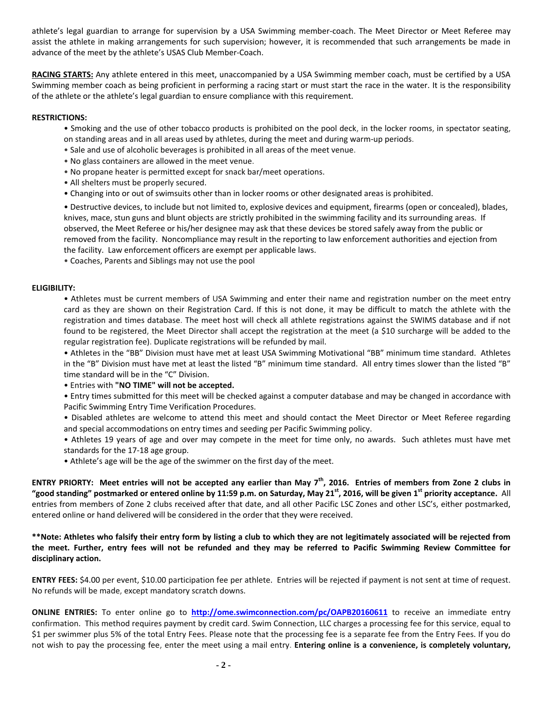athlete's legal guardian to arrange for supervision by a USA Swimming member-coach. The Meet Director or Meet Referee may assist the athlete in making arrangements for such supervision; however, it is recommended that such arrangements be made in advance of the meet by the athlete's USAS Club Member-Coach.

**RACING STARTS:** Any athlete entered in this meet, unaccompanied by a USA Swimming member coach, must be certified by a USA Swimming member coach as being proficient in performing a racing start or must start the race in the water. It is the responsibility of the athlete or the athlete's legal guardian to ensure compliance with this requirement.

#### **RESTRICTIONS:**

- Smoking and the use of other tobacco products is prohibited on the pool deck, in the locker rooms, in spectator seating, on standing areas and in all areas used by athletes, during the meet and during warm-up periods.
- Sale and use of alcoholic beverages is prohibited in all areas of the meet venue.
- No glass containers are allowed in the meet venue.
- No propane heater is permitted except for snack bar/meet operations.
- All shelters must be properly secured.
- Changing into or out of swimsuits other than in locker rooms or other designated areas is prohibited.

• Destructive devices, to include but not limited to, explosive devices and equipment, firearms (open or concealed), blades, knives, mace, stun guns and blunt objects are strictly prohibited in the swimming facility and its surrounding areas. If observed, the Meet Referee or his/her designee may ask that these devices be stored safely away from the public or removed from the facility. Noncompliance may result in the reporting to law enforcement authorities and ejection from the facility. Law enforcement officers are exempt per applicable laws.

• Coaches, Parents and Siblings may not use the pool

#### **ELIGIBILITY:**

• Athletes must be current members of USA Swimming and enter their name and registration number on the meet entry card as they are shown on their Registration Card. If this is not done, it may be difficult to match the athlete with the registration and times database. The meet host will check all athlete registrations against the SWIMS database and if not found to be registered, the Meet Director shall accept the registration at the meet (a \$10 surcharge will be added to the regular registration fee). Duplicate registrations will be refunded by mail.

• Athletes in the "BB" Division must have met at least USA Swimming Motivational "BB" minimum time standard. Athletes in the "B" Division must have met at least the listed "B" minimum time standard. All entry times slower than the listed "B" time standard will be in the "C" Division.

• Entries with **"NO TIME" will not be accepted.**

• Entry times submitted for this meet will be checked against a computer database and may be changed in accordance with Pacific Swimming Entry Time Verification Procedures.

• Disabled athletes are welcome to attend this meet and should contact the Meet Director or Meet Referee regarding and special accommodations on entry times and seeding per Pacific Swimming policy.

• Athletes 19 years of age and over may compete in the meet for time only, no awards. Such athletes must have met standards for the 17-18 age group.

• Athlete's age will be the age of the swimmer on the first day of the meet.

**ENTRY PRIORTY: Meet entries will not be accepted any earlier than May 7th, 2016. Entries of members from Zone 2 clubs in "good standing" postmarked or entered online by 11:59 p.m. on Saturday, May 21st, 2016, will be given 1st priority acceptance.** All entries from members of Zone 2 clubs received after that date, and all other Pacific LSC Zones and other LSC's, either postmarked, entered online or hand delivered will be considered in the order that they were received.

**\*\*Note: Athletes who falsify their entry form by listing a club to which they are not legitimately associated will be rejected from the meet. Further, entry fees will not be refunded and they may be referred to Pacific Swimming Review Committee for disciplinary action.**

**ENTRY FEES:** \$4.00 per event, \$10.00 participation fee per athlete. Entries will be rejected if payment is not sent at time of request. No refunds will be made, except mandatory scratch downs.

**ONLINE ENTRIES:** To enter online go to **<http://ome.swimconnection.com/pc/OAPB20160611>** to receive an immediate entry confirmation. This method requires payment by credit card. Swim Connection, LLC charges a processing fee for this service, equal to \$1 per swimmer plus 5% of the total Entry Fees. Please note that the processing fee is a separate fee from the Entry Fees. If you do not wish to pay the processing fee, enter the meet using a mail entry. **Entering online is a convenience, is completely voluntary,**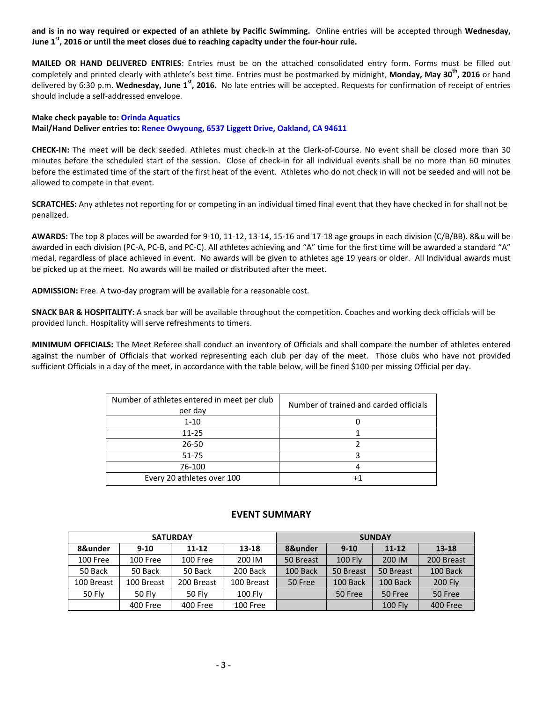**and is in no way required or expected of an athlete by Pacific Swimming.** Online entries will be accepted through **Wednesday, June 1st, 2016 or until the meet closes due to reaching capacity under the four-hour rule.** 

**MAILED OR HAND DELIVERED ENTRIES**: Entries must be on the attached consolidated entry form. Forms must be filled out completely and printed clearly with athlete's best time. Entries must be postmarked by midnight, **Monday, May 30th , 2016** or hand delivered by 6:30 p.m. **Wednesday, June 1st, 2016.** No late entries will be accepted. Requests for confirmation of receipt of entries should include a self-addressed envelope.

## **Make check payable to: Orinda Aquatics Mail/Hand Deliver entries to: Renee Owyoung, 6537 Liggett Drive, Oakland, CA 94611**

**CHECK-IN:** The meet will be deck seeded. Athletes must check-in at the Clerk-of-Course. No event shall be closed more than 30 minutes before the scheduled start of the session. Close of check-in for all individual events shall be no more than 60 minutes before the estimated time of the start of the first heat of the event. Athletes who do not check in will not be seeded and will not be allowed to compete in that event.

**SCRATCHES:** Any athletes not reporting for or competing in an individual timed final event that they have checked in for shall not be penalized.

**AWARDS:** The top 8 places will be awarded for 9-10, 11-12, 13-14, 15-16 and 17-18 age groups in each division (C/B/BB). 8&u will be awarded in each division (PC-A, PC-B, and PC-C). All athletes achieving and "A" time for the first time will be awarded a standard "A" medal, regardless of place achieved in event. No awards will be given to athletes age 19 years or older. All Individual awards must be picked up at the meet. No awards will be mailed or distributed after the meet.

**ADMISSION:** Free. A two-day program will be available for a reasonable cost.

**SNACK BAR & HOSPITALITY:** A snack bar will be available throughout the competition. Coaches and working deck officials will be provided lunch. Hospitality will serve refreshments to timers.

**MINIMUM OFFICIALS:** The Meet Referee shall conduct an inventory of Officials and shall compare the number of athletes entered against the number of Officials that worked representing each club per day of the meet. Those clubs who have not provided sufficient Officials in a day of the meet, in accordance with the table below, will be fined \$100 per missing Official per day.

| Number of athletes entered in meet per club<br>per day | Number of trained and carded officials |
|--------------------------------------------------------|----------------------------------------|
| $1 - 10$                                               |                                        |
| $11 - 25$                                              |                                        |
| $26 - 50$                                              |                                        |
| $51 - 75$                                              |                                        |
| 76-100                                                 |                                        |
| Every 20 athletes over 100                             |                                        |

|               |            | <b>SATURDAY</b> |                | <b>SUNDAY</b> |                |                |                |  |  |  |
|---------------|------------|-----------------|----------------|---------------|----------------|----------------|----------------|--|--|--|
| 8&under       | $9-10$     | 11-12           | 13-18          | 8&under       | $9 - 10$       | $11 - 12$      | 13-18          |  |  |  |
| 100 Free      | 100 Free   | 100 Free        | 200 IM         | 50 Breast     | <b>100 Flv</b> | 200 IM         | 200 Breast     |  |  |  |
| 50 Back       | 50 Back    | 50 Back         | 200 Back       | 100 Back      | 50 Breast      | 50 Breast      | 100 Back       |  |  |  |
| 100 Breast    | 100 Breast | 200 Breast      | 100 Breast     | 50 Free       | 100 Back       | 100 Back       | <b>200 Fly</b> |  |  |  |
| <b>50 Fly</b> | 50 Fly     | 50 Fly          | <b>100 Fly</b> |               | 50 Free        | 50 Free        | 50 Free        |  |  |  |
|               | 400 Free   | 400 Free        | 100 Free       |               |                | <b>100 Fly</b> | 400 Free       |  |  |  |

# **EVENT SUMMARY**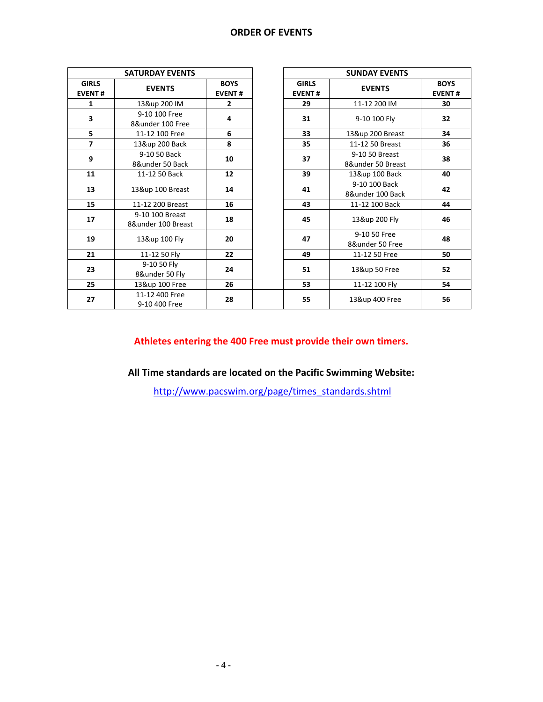| <b>SATURDAY EVENTS</b>        |                                       |                              |  | <b>SUNDAY EVENTS</b>          |                                     |                              |  |  |
|-------------------------------|---------------------------------------|------------------------------|--|-------------------------------|-------------------------------------|------------------------------|--|--|
| <b>GIRLS</b><br><b>EVENT#</b> | <b>EVENTS</b>                         | <b>BOYS</b><br><b>EVENT#</b> |  | <b>GIRLS</b><br><b>EVENT#</b> | <b>EVENTS</b>                       | <b>BOYS</b><br><b>EVENT#</b> |  |  |
| 1                             | 13&up 200 IM                          | $\overline{2}$               |  | 29                            | 11-12 200 IM                        | 30                           |  |  |
| 3                             | 9-10 100 Free<br>8&under 100 Free     | 4                            |  | 31                            | 9-10 100 Fly                        | 32                           |  |  |
| 5                             | 11-12 100 Free                        | 6                            |  | 33                            | 13&up 200 Breast                    | 34                           |  |  |
| 7                             | 13&up 200 Back                        | 8                            |  | 35                            | 11-12 50 Breast                     | 36                           |  |  |
| 9                             | 9-10 50 Back<br>8&under 50 Back       | 10                           |  | 37                            | 9-10 50 Breast<br>8&under 50 Breast | 38                           |  |  |
| 11                            | 11-12 50 Back                         | 12                           |  | 39                            | 13&up 100 Back                      | 40                           |  |  |
| 13                            | 13&up 100 Breast                      | 14                           |  | 41                            | 9-10 100 Back<br>8&under 100 Back   | 42                           |  |  |
| 15                            | 11-12 200 Breast                      | 16                           |  | 43<br>11-12 100 Back          |                                     | 44                           |  |  |
| 17                            | 9-10 100 Breast<br>8&under 100 Breast | 18                           |  | 45                            | 13&up 200 Fly                       | 46                           |  |  |
| 19                            | 13&up 100 Fly                         | 20                           |  | 47                            | 9-10 50 Free<br>8&under 50 Free     | 48                           |  |  |
| 21                            | 11-12 50 Fly                          | 22                           |  | 49                            | 11-12 50 Free                       | 50                           |  |  |
| 23                            | 9-10 50 Fly<br>8&under 50 Fly         | 24                           |  | 51                            | 13&up 50 Free                       | 52                           |  |  |
| 25                            | 13&up 100 Free                        | 26                           |  | 53                            | 11-12 100 Fly                       | 54                           |  |  |
| 27                            | 11-12 400 Free<br>9-10 400 Free       | 28                           |  | 55                            | 13&up 400 Free                      | 56                           |  |  |

# **Athletes entering the 400 Free must provide their own timers.**

**All Time standards are located on the Pacific Swimming Website:**

[http://www.pacswim.org/page/times\\_standards.shtml](http://www.pacswim.org/page/times_standards.shtml)